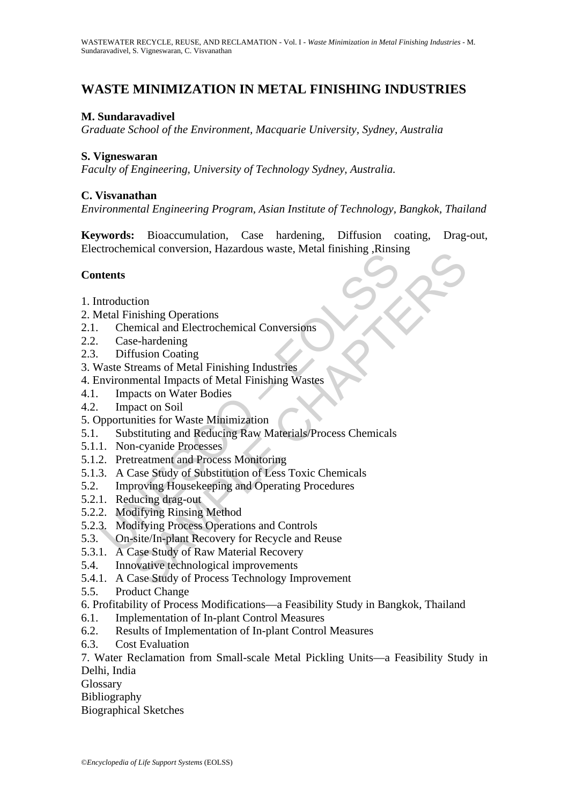# **WASTE MINIMIZATION IN METAL FINISHING INDUSTRIES**

# **M. Sundaravadivel**

*Graduate School of the Environment, Macquarie University, Sydney, Australia* 

#### **S. Vigneswaran**

*Faculty of Engineering, University of Technology Sydney, Australia.* 

#### **C. Visvanathan**

*Environmental Engineering Program, Asian Institute of Technology, Bangkok, Thailand* 

**Keywords:** Bioaccumulation, Case hardening, Diffusion coating, Drag-out, Electrochemical conversion, Hazardous waste, Metal finishing ,Rinsing

#### **Contents**

- 1. Introduction
- 2. Metal Finishing Operations
- 2.1. Chemical and Electrochemical Conversions
- 2.2. Case-hardening
- 2.3. Diffusion Coating
- 3. Waste Streams of Metal Finishing Industries
- 4. Environmental Impacts of Metal Finishing Wastes
- 4.1. Impacts on Water Bodies
- 4.2. Impact on Soil
- 5. Opportunities for Waste Minimization
- Institution<br>
Institution (Internal Conversion, Internal Conversion, Internal Institution<br>
Institution Conversions<br>
Case-hardening<br>
Case-hardening<br>
Diffusion Coating<br>
Vaste Streams of Metal Finishing Industries<br>
Impacts on The Conversion, Trazanous waste, Metar Innishing<br>
Seminal and Electrochemical Conversions<br>
e-hardening<br>
fusion Coating<br>
furthers of Metal Finishing Industries<br>
mental Impacts of Metal Finishing Wastes<br>
and to Noil<br>
matter 5.1. Substituting and Reducing Raw Materials/Process Chemicals
- 5.1.1. Non-cyanide Processes
- 5.1.2. Pretreatment and Process Monitoring
- 5.1.3. A Case Study of Substitution of Less Toxic Chemicals
- 5.2. Improving Housekeeping and Operating Procedures
- 5.2.1. Reducing drag-out
- 5.2.2. Modifying Rinsing Method
- 5.2.3. Modifying Process Operations and Controls
- 5.3. On-site/In-plant Recovery for Recycle and Reuse
- 5.3.1. A Case Study of Raw Material Recovery
- 5.4. Innovative technological improvements
- 5.4.1. A Case Study of Process Technology Improvement
- 5.5. Product Change
- 6. Profitability of Process Modifications—a Feasibility Study in Bangkok, Thailand
- 6.1. Implementation of In-plant Control Measures
- 6.2. Results of Implementation of In-plant Control Measures
- 6.3. Cost Evaluation

7. Water Reclamation from Small-scale Metal Pickling Units—a Feasibility Study in Delhi, India

Glossary

Bibliography

Biographical Sketches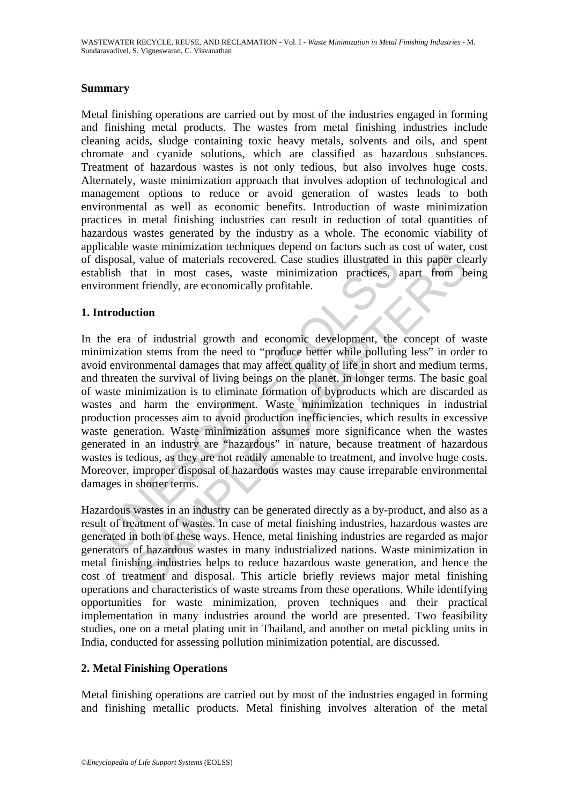### **Summary**

Metal finishing operations are carried out by most of the industries engaged in forming and finishing metal products. The wastes from metal finishing industries include cleaning acids, sludge containing toxic heavy metals, solvents and oils, and spent chromate and cyanide solutions, which are classified as hazardous substances. Treatment of hazardous wastes is not only tedious, but also involves huge costs. Alternately, waste minimization approach that involves adoption of technological and management options to reduce or avoid generation of wastes leads to both environmental as well as economic benefits. Introduction of waste minimization practices in metal finishing industries can result in reduction of total quantities of hazardous wastes generated by the industry as a whole. The economic viability of applicable waste minimization techniques depend on factors such as cost of water, cost of disposal, value of materials recovered. Case studies illustrated in this paper clearly establish that in most cases, waste minimization practices, apart from being environment friendly, are economically profitable.

#### **1. Introduction**

lisposal, value of materials recovered. Case studies illustrated in<br>blish that in most cases, waste minimization practices,<br>ronment friendly, are economically profitable.<br>**Accomment** friendly, are economically profitable.<br> I, value of materials recovered. Case studies illustrated in this paper element in most cases, waste minimization practices, apart from b<br>that in most cases, waste minimization practices, apart from b<br>and triendly, are eco In the era of industrial growth and economic development, the concept of waste minimization stems from the need to "produce better while polluting less" in order to avoid environmental damages that may affect quality of life in short and medium terms, and threaten the survival of living beings on the planet, in longer terms. The basic goal of waste minimization is to eliminate formation of byproducts which are discarded as wastes and harm the environment. Waste minimization techniques in industrial production processes aim to avoid production inefficiencies, which results in excessive waste generation. Waste minimization assumes more significance when the wastes generated in an industry are "hazardous" in nature, because treatment of hazardous wastes is tedious, as they are not readily amenable to treatment, and involve huge costs. Moreover, improper disposal of hazardous wastes may cause irreparable environmental damages in shorter terms.

Hazardous wastes in an industry can be generated directly as a by-product, and also as a result of treatment of wastes. In case of metal finishing industries, hazardous wastes are generated in both of these ways. Hence, metal finishing industries are regarded as major generators of hazardous wastes in many industrialized nations. Waste minimization in metal finishing industries helps to reduce hazardous waste generation, and hence the cost of treatment and disposal. This article briefly reviews major metal finishing operations and characteristics of waste streams from these operations. While identifying opportunities for waste minimization, proven techniques and their practical implementation in many industries around the world are presented. Two feasibility studies, one on a metal plating unit in Thailand, and another on metal pickling units in India, conducted for assessing pollution minimization potential, are discussed.

# **2. Metal Finishing Operations**

Metal finishing operations are carried out by most of the industries engaged in forming and finishing metallic products. Metal finishing involves alteration of the metal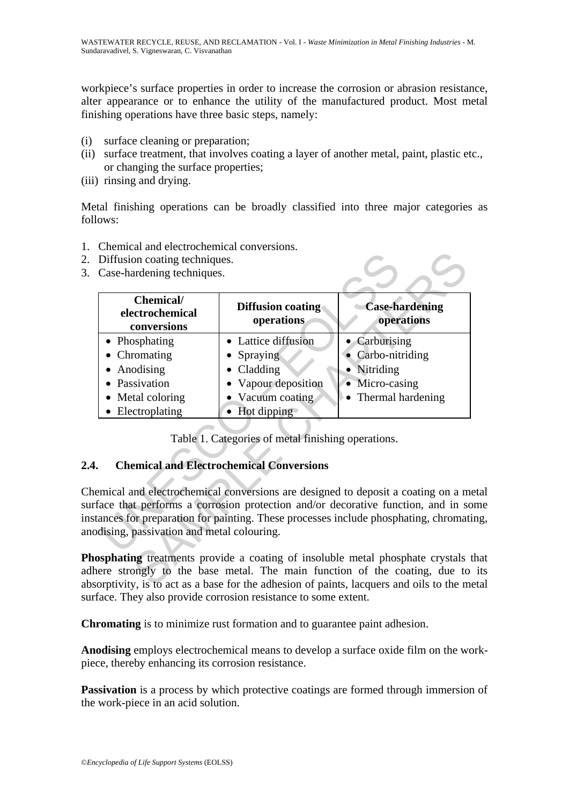workpiece's surface properties in order to increase the corrosion or abrasion resistance, alter appearance or to enhance the utility of the manufactured product. Most metal finishing operations have three basic steps, namely:

- (i) surface cleaning or preparation;
- (ii) surface treatment, that involves coating a layer of another metal, paint, plastic etc., or changing the surface properties;
- (iii) rinsing and drying.

Metal finishing operations can be broadly classified into three major categories as follows:

- 1. Chemical and electrochemical conversions.
- 2. Diffusion coating techniques.
- 3. Case-hardening techniques.

| Diffusion coating techniques.<br>Case-hardening techniques.                                                             |                                                                                                             |                                                                                                                                                                                                                                                         |
|-------------------------------------------------------------------------------------------------------------------------|-------------------------------------------------------------------------------------------------------------|---------------------------------------------------------------------------------------------------------------------------------------------------------------------------------------------------------------------------------------------------------|
| Chemical/<br>electrochemical<br>conversions                                                                             | <b>Diffusion coating</b><br>operations                                                                      | <b>Case-hardening</b><br>operations                                                                                                                                                                                                                     |
| Phosphating<br>Chromating<br>Anodising<br>$\bullet$<br>Passivation<br>$\bullet$<br>• Metal coloring<br>• Electroplating | • Lattice diffusion<br>Spraying<br>Cladding<br>Vapour deposition<br>Vacuum coating<br>$\bullet$ Hot dipping | Carburising<br>Carbo-nitriding<br>• Nitriding<br>• Micro-casing<br>Thermal hardening                                                                                                                                                                    |
|                                                                                                                         | Table 1. Categories of metal finishing operations.<br><b>Chemical and Electrochemical Conversions</b>       |                                                                                                                                                                                                                                                         |
| dising, passivation and metal colouring.                                                                                |                                                                                                             | emical and electrochemical conversions are designed to deposit a coating on a m<br>face that performs a corrosion protection and/or decorative function, and in so<br>ances for preparation for painting. These processes include phosphating, chromat  |
|                                                                                                                         |                                                                                                             | <b>Sphating</b> treatments provide a coating of insoluble metal phosphate crystals<br>ere strongly to the base metal. The main function of the coating, due to<br>orptivity, is to act as a base for the adhesion of paints, lacquers and oils to the m |

# **2.4. Chemical and Electrochemical Conversions**

Chemical and electrochemical conversions are designed to deposit a coating on a metal surface that performs a corrosion protection and/or decorative function, and in some instances for preparation for painting. These processes include phosphating, chromating, anodising, passivation and metal colouring.

**Phosphating** treatments provide a coating of insoluble metal phosphate crystals that adhere strongly to the base metal. The main function of the coating, due to its absorptivity, is to act as a base for the adhesion of paints, lacquers and oils to the metal surface. They also provide corrosion resistance to some extent.

**Chromating** is to minimize rust formation and to guarantee paint adhesion.

**Anodising** employs electrochemical means to develop a surface oxide film on the workpiece, thereby enhancing its corrosion resistance.

**Passivation** is a process by which protective coatings are formed through immersion of the work-piece in an acid solution.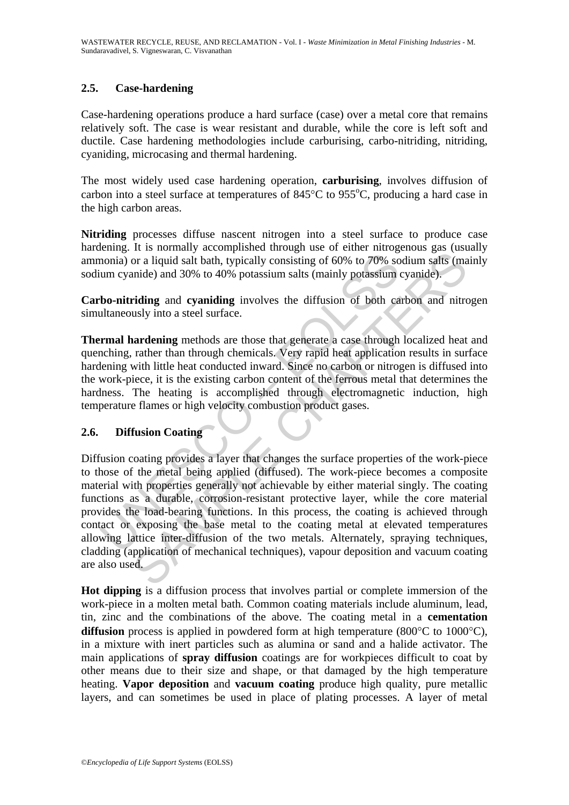# **2.5. Case-hardening**

Case-hardening operations produce a hard surface (case) over a metal core that remains relatively soft. The case is wear resistant and durable, while the core is left soft and ductile. Case hardening methodologies include carburising, carbo-nitriding, nitriding, cyaniding, microcasing and thermal hardening.

The most widely used case hardening operation, **carburising**, involves diffusion of carbon into a steel surface at temperatures of  $845^{\circ}$ C to  $955^{\circ}$ C, producing a hard case in the high carbon areas.

**Nitriding** processes diffuse nascent nitrogen into a steel surface to produce case hardening. It is normally accomplished through use of either nitrogenous gas (usually ammonia) or a liquid salt bath, typically consisting of 60% to 70% sodium salts (mainly sodium cyanide) and 30% to 40% potassium salts (mainly potassium cyanide).

**Carbo-nitriding** and **cyaniding** involves the diffusion of both carbon and nitrogen simultaneously into a steel surface.

**Thermal hardening** methods are those that generate a case through localized heat and quenching, rather than through chemicals. Very rapid heat application results in surface hardening with little heat conducted inward. Since no carbon or nitrogen is diffused into the work-piece, it is the existing carbon content of the ferrous metal that determines the hardness. The heating is accomplished through electromagnetic induction, high temperature flames or high velocity combustion product gases.

# **2.6. Diffusion Coating**

monia) or a liquid salt bath, typically consisting of 60% to 70% so<br>sum cyanide) and 30% to 40% potassium salts (mainly potassium<br>bo-nitriding and cyaniding involves the diffusion of both ca<br>ultaneously into a steel surfac A montany accounting the base of contract and the contract and contract and contract and a data that, typically consisting of 60% to 70% sodium salts (mainter) and 30% to 40% potassium salts (mainly potassium cyanide).<br> **r** Diffusion coating provides a layer that changes the surface properties of the work-piece to those of the metal being applied (diffused). The work-piece becomes a composite material with properties generally not achievable by either material singly. The coating functions as a durable, corrosion-resistant protective layer, while the core material provides the load-bearing functions. In this process, the coating is achieved through contact or exposing the base metal to the coating metal at elevated temperatures allowing lattice inter-diffusion of the two metals. Alternately, spraying techniques, cladding (application of mechanical techniques), vapour deposition and vacuum coating are also used.

**Hot dipping** is a diffusion process that involves partial or complete immersion of the work-piece in a molten metal bath. Common coating materials include aluminum, lead, tin, zinc and the combinations of the above. The coating metal in a **cementation**  diffusion process is applied in powdered form at high temperature (800<sup>o</sup>C to 1000<sup>o</sup>C), in a mixture with inert particles such as alumina or sand and a halide activator. The main applications of **spray diffusion** coatings are for workpieces difficult to coat by other means due to their size and shape, or that damaged by the high temperature heating. **Vapor deposition** and **vacuum coating** produce high quality, pure metallic layers, and can sometimes be used in place of plating processes. A layer of metal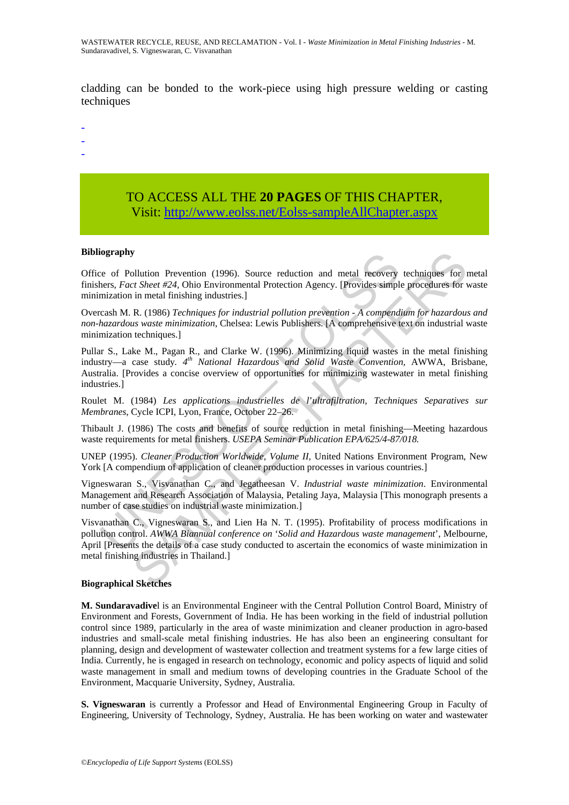cladding can be bonded to the work-piece using high pressure welding or casting techniques

- -
- -
- -

# TO ACCESS ALL THE **20 PAGES** OF THIS CHAPTER, Visit[: http://www.eolss.net/Eolss-sampleAllChapter.aspx](https://www.eolss.net/ebooklib/sc_cart.aspx?File=E2-14-02-05)

#### **Bibliography**

Office of Pollution Prevention (1996). Source reduction and metal recovery techniques for metal finishers, *Fact Sheet #24,* Ohio Environmental Protection Agency. [Provides simple procedures for waste minimization in metal finishing industries.]

Overcash M. R. (1986) *Techniques for industrial pollution prevention - A compendium for hazardous and non-hazardous waste minimization*, Chelsea: Lewis Publishers. [A comprehensive text on industrial waste minimization techniques.]

**tography**<br>
ee of Pollution Prevention (1996). Source reduction and metal recovery<br>
hers, *Fact Sheet #24*, Ohio Environmental Protection Agency. [Provides simplemization in metal finishing industries.]<br>
creash M. R. (198 Pullar S., Lake M., Pagan R., and Clarke W. (1996). Minimizing liquid wastes in the metal finishing industry—a case study*. 4th National Hazardous and Solid Waste Convention,* AWWA, Brisbane, Australia. [Provides a concise overview of opportunities for minimizing wastewater in metal finishing industries.]

Roulet M. (1984) *Les applications industrielles de l*'*ultrafiltration, Techniques Separatives sur Membranes*, Cycle ICPI, Lyon, France, October 22–26.

Thibault J. (1986) The costs and benefits of source reduction in metal finishing—Meeting hazardous waste requirements for metal finishers. *USEPA Seminar Publication EPA/625/4-87/018.* 

UNEP (1995). *Cleaner Production Worldwide, Volume II,* United Nations Environment Program, New York [A compendium of application of cleaner production processes in various countries.]

Vigneswaran S., Visvanathan C., and Jegatheesan V. *Industrial waste minimization*. Environmental Management and Research Association of Malaysia, Petaling Jaya, Malaysia [This monograph presents a number of case studies on industrial waste minimization.]

Fundition Prevention (1996). Source reduction and metal recovery techniques for trainer  $t$  Sheet  $t/24$ , Ohio Environmental Protection Agency. Provides simple procedures for the trainer of metal finishing industries.]<br>
R Visvanathan C., Vigneswaran S., and Lien Ha N. T. (1995). Profitability of process modifications in pollution control. *AWWA Biannual conference on* '*Solid and Hazardous waste management*', Melbourne, April [Presents the details of a case study conducted to ascertain the economics of waste minimization in metal finishing industries in Thailand.]

#### **Biographical Sketches**

**M. Sundaravadive**l is an Environmental Engineer with the Central Pollution Control Board, Ministry of Environment and Forests, Government of India. He has been working in the field of industrial pollution control since 1989, particularly in the area of waste minimization and cleaner production in agro-based industries and small-scale metal finishing industries. He has also been an engineering consultant for planning, design and development of wastewater collection and treatment systems for a few large cities of India. Currently, he is engaged in research on technology, economic and policy aspects of liquid and solid waste management in small and medium towns of developing countries in the Graduate School of the Environment, Macquarie University, Sydney, Australia.

**S. Vigneswaran** is currently a Professor and Head of Environmental Engineering Group in Faculty of Engineering, University of Technology, Sydney, Australia. He has been working on water and wastewater